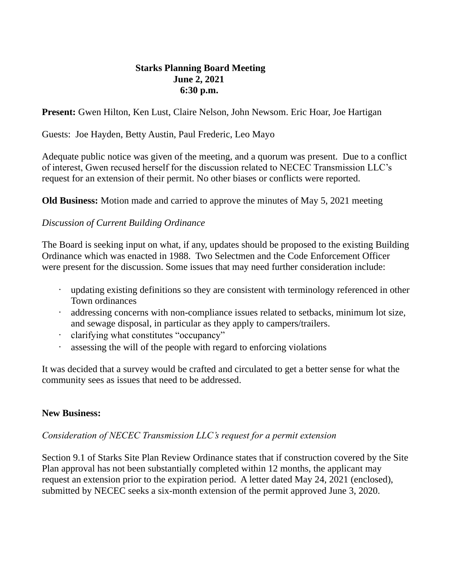## **Starks Planning Board Meeting June 2, 2021 6:30 p.m.**

**Present:** Gwen Hilton, Ken Lust, Claire Nelson, John Newsom. Eric Hoar, Joe Hartigan

Guests: Joe Hayden, Betty Austin, Paul Frederic, Leo Mayo

Adequate public notice was given of the meeting, and a quorum was present. Due to a conflict of interest, Gwen recused herself for the discussion related to NECEC Transmission LLC's request for an extension of their permit. No other biases or conflicts were reported.

**Old Business:** Motion made and carried to approve the minutes of May 5, 2021 meeting

## *Discussion of Current Building Ordinance*

The Board is seeking input on what, if any, updates should be proposed to the existing Building Ordinance which was enacted in 1988. Two Selectmen and the Code Enforcement Officer were present for the discussion. Some issues that may need further consideration include:

- updating existing definitions so they are consistent with terminology referenced in other Town ordinances
- addressing concerns with non-compliance issues related to setbacks, minimum lot size, and sewage disposal, in particular as they apply to campers/trailers.
- clarifying what constitutes "occupancy"
- assessing the will of the people with regard to enforcing violations

It was decided that a survey would be crafted and circulated to get a better sense for what the community sees as issues that need to be addressed.

## **New Business:**

## *Consideration of NECEC Transmission LLC's request for a permit extension*

Section 9.1 of Starks Site Plan Review Ordinance states that if construction covered by the Site Plan approval has not been substantially completed within 12 months, the applicant may request an extension prior to the expiration period. A letter dated May 24, 2021 (enclosed), submitted by NECEC seeks a six-month extension of the permit approved June 3, 2020.